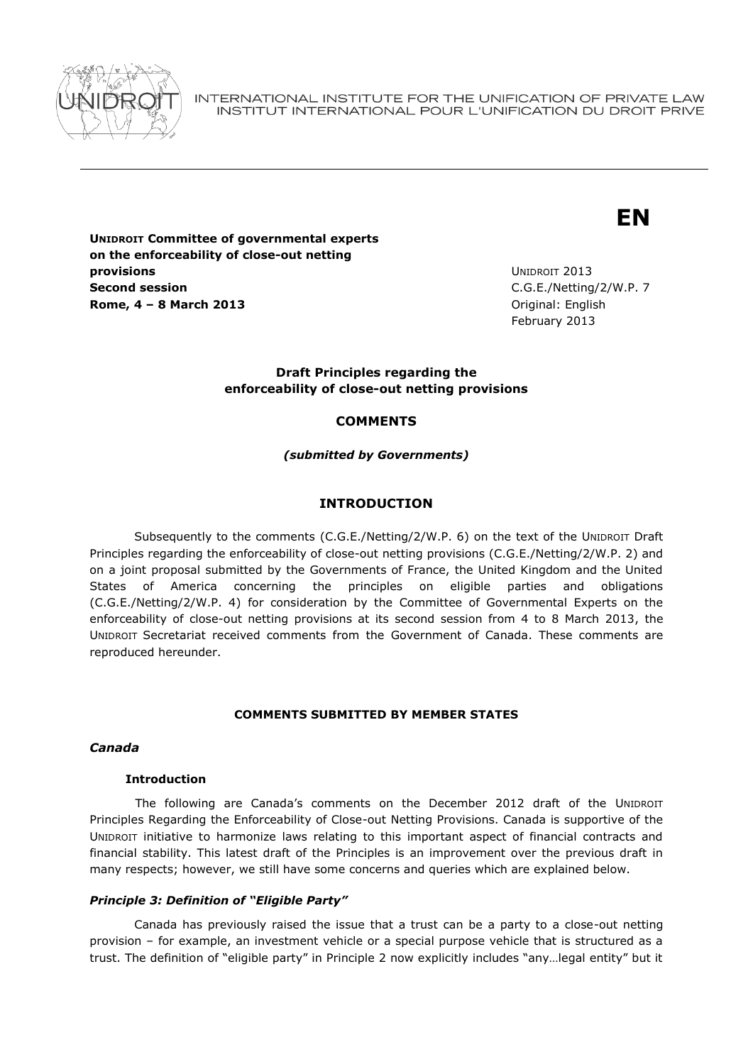

INTERNATIONAL INSTITUTE FOR THE UNIFICATION OF PRIVATE LAW INSTITUT INTERNATIONAL POUR L'UNIFICATION DU DROIT PRIVE

# **EN**

**UNIDROIT Committee of governmental experts on the enforceability of close-out netting provisions Second session Rome, 4 – 8 March 2013** Original: English

UNIDROIT 2013 C.G.E./Netting/2/W.P. 7 February 2013

## **Draft Principles regarding the enforceability of close-out netting provisions**

# **COMMENTS**

*(submitted by Governments)*

# **INTRODUCTION**

Subsequently to the comments (C.G.E./Netting/2/W.P. 6) on the text of the UNIDROIT Draft Principles regarding the enforceability of close-out netting provisions (C.G.E./Netting/2/W.P. 2) and on a joint proposal submitted by the Governments of France, the United Kingdom and the United States of America concerning the principles on eligible parties and obligations (C.G.E./Netting/2/W.P. 4) for consideration by the Committee of Governmental Experts on the enforceability of close-out netting provisions at its second session from 4 to 8 March 2013, the UNIDROIT Secretariat received comments from the Government of Canada. These comments are reproduced hereunder.

# **COMMENTS SUBMITTED BY MEMBER STATES**

#### *Canada*

### **Introduction**

The following are Canada's comments on the December 2012 draft of the UNIDROIT Principles Regarding the Enforceability of Close-out Netting Provisions. Canada is supportive of the UNIDROIT initiative to harmonize laws relating to this important aspect of financial contracts and financial stability. This latest draft of the Principles is an improvement over the previous draft in many respects; however, we still have some concerns and queries which are explained below.

#### *Principle 3: Definition of "Eligible Party"*

Canada has previously raised the issue that a trust can be a party to a close-out netting provision – for example, an investment vehicle or a special purpose vehicle that is structured as a trust. The definition of "eligible party" in Principle 2 now explicitly includes "any…legal entity" but it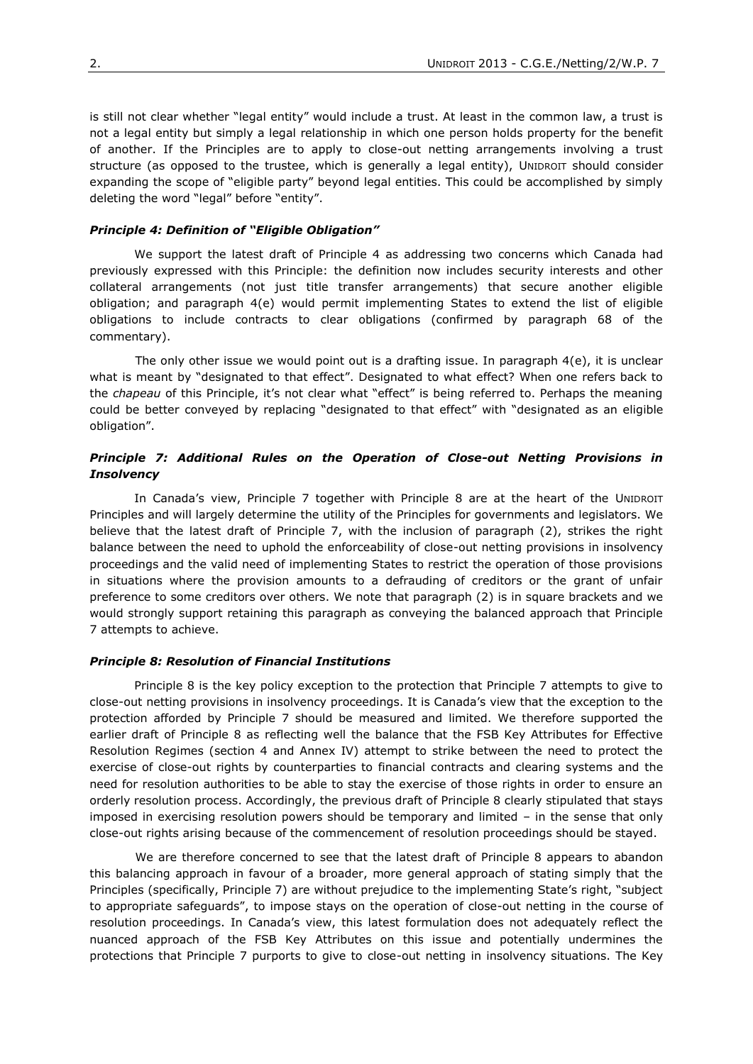is still not clear whether "legal entity" would include a trust. At least in the common law, a trust is not a legal entity but simply a legal relationship in which one person holds property for the benefit of another. If the Principles are to apply to close-out netting arrangements involving a trust structure (as opposed to the trustee, which is generally a legal entity), UNIDROIT should consider expanding the scope of "eligible party" beyond legal entities. This could be accomplished by simply deleting the word "legal" before "entity".

#### *Principle 4: Definition of "Eligible Obligation"*

We support the latest draft of Principle 4 as addressing two concerns which Canada had previously expressed with this Principle: the definition now includes security interests and other collateral arrangements (not just title transfer arrangements) that secure another eligible obligation; and paragraph 4(e) would permit implementing States to extend the list of eligible obligations to include contracts to clear obligations (confirmed by paragraph 68 of the commentary).

The only other issue we would point out is a drafting issue. In paragraph  $4(e)$ , it is unclear what is meant by "designated to that effect". Designated to what effect? When one refers back to the *chapeau* of this Principle, it's not clear what "effect" is being referred to. Perhaps the meaning could be better conveyed by replacing "designated to that effect" with "designated as an eligible obligation".

## *Principle 7: Additional Rules on the Operation of Close-out Netting Provisions in Insolvency*

In Canada's view, Principle 7 together with Principle 8 are at the heart of the UNIDROIT Principles and will largely determine the utility of the Principles for governments and legislators. We believe that the latest draft of Principle 7, with the inclusion of paragraph (2), strikes the right balance between the need to uphold the enforceability of close-out netting provisions in insolvency proceedings and the valid need of implementing States to restrict the operation of those provisions in situations where the provision amounts to a defrauding of creditors or the grant of unfair preference to some creditors over others. We note that paragraph (2) is in square brackets and we would strongly support retaining this paragraph as conveying the balanced approach that Principle 7 attempts to achieve.

#### *Principle 8: Resolution of Financial Institutions*

Principle 8 is the key policy exception to the protection that Principle 7 attempts to give to close-out netting provisions in insolvency proceedings. It is Canada's view that the exception to the protection afforded by Principle 7 should be measured and limited. We therefore supported the earlier draft of Principle 8 as reflecting well the balance that the FSB Key Attributes for Effective Resolution Regimes (section 4 and Annex IV) attempt to strike between the need to protect the exercise of close-out rights by counterparties to financial contracts and clearing systems and the need for resolution authorities to be able to stay the exercise of those rights in order to ensure an orderly resolution process. Accordingly, the previous draft of Principle 8 clearly stipulated that stays imposed in exercising resolution powers should be temporary and limited – in the sense that only close-out rights arising because of the commencement of resolution proceedings should be stayed.

We are therefore concerned to see that the latest draft of Principle 8 appears to abandon this balancing approach in favour of a broader, more general approach of stating simply that the Principles (specifically, Principle 7) are without prejudice to the implementing State's right, "subject to appropriate safeguards", to impose stays on the operation of close-out netting in the course of resolution proceedings. In Canada's view, this latest formulation does not adequately reflect the nuanced approach of the FSB Key Attributes on this issue and potentially undermines the protections that Principle 7 purports to give to close-out netting in insolvency situations. The Key